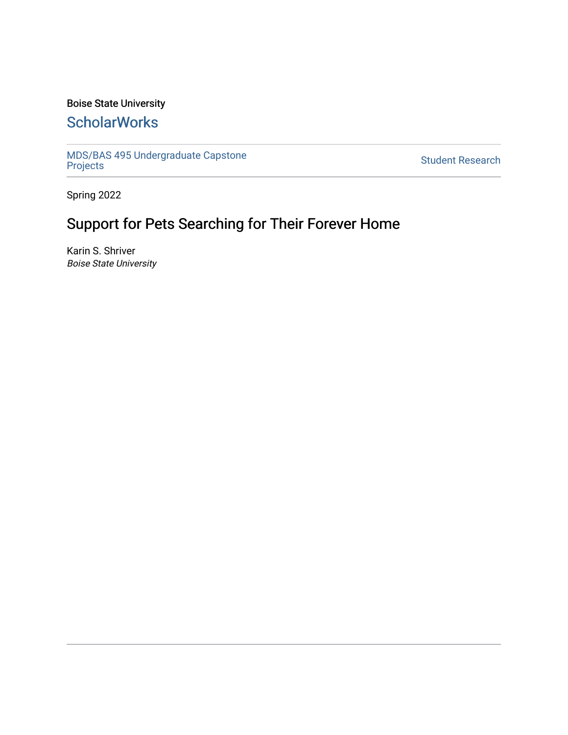# Boise State University

# **ScholarWorks**

[MDS/BAS 495 Undergraduate Capstone](https://scholarworks.boisestate.edu/mds495_proj)  [Projects](https://scholarworks.boisestate.edu/mds495_proj) [Student Research](https://scholarworks.boisestate.edu/student_research) 

Spring 2022

# Support for Pets Searching for Their Forever Home

Karin S. Shriver Boise State University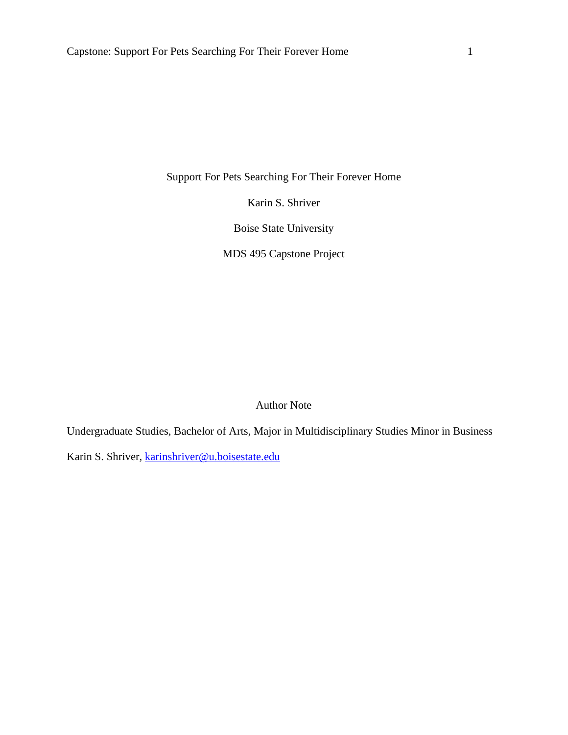Support For Pets Searching For Their Forever Home

Karin S. Shriver

Boise State University

MDS 495 Capstone Project

Author Note

Undergraduate Studies, Bachelor of Arts, Major in Multidisciplinary Studies Minor in Business

Karin S. Shriver, [karinshriver@u.boisestate.edu](mailto:karinshriver@u.boisestate.edu)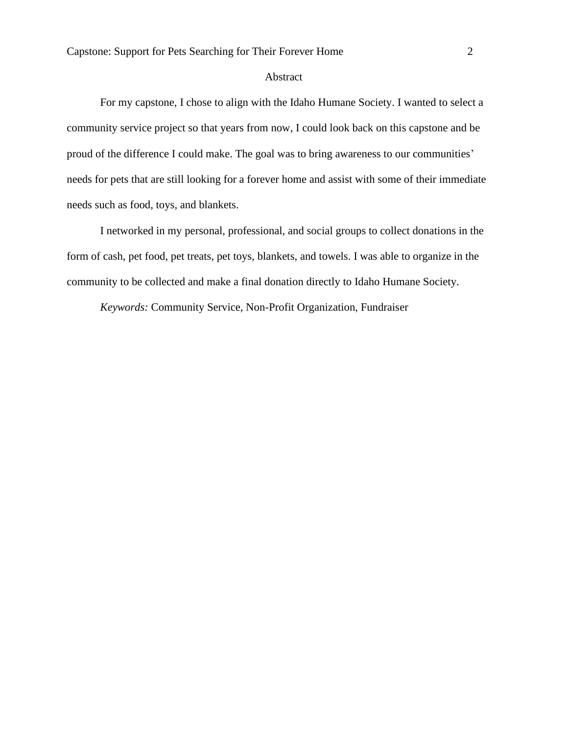# Abstract

For my capstone, I chose to align with the Idaho Humane Society. I wanted to select a community service project so that years from now, I could look back on this capstone and be proud of the difference I could make. The goal was to bring awareness to our communities' needs for pets that are still looking for a forever home and assist with some of their immediate needs such as food, toys, and blankets.

I networked in my personal, professional, and social groups to collect donations in the form of cash, pet food, pet treats, pet toys, blankets, and towels. I was able to organize in the community to be collected and make a final donation directly to Idaho Humane Society.

*Keywords:* Community Service, Non-Profit Organization, Fundraiser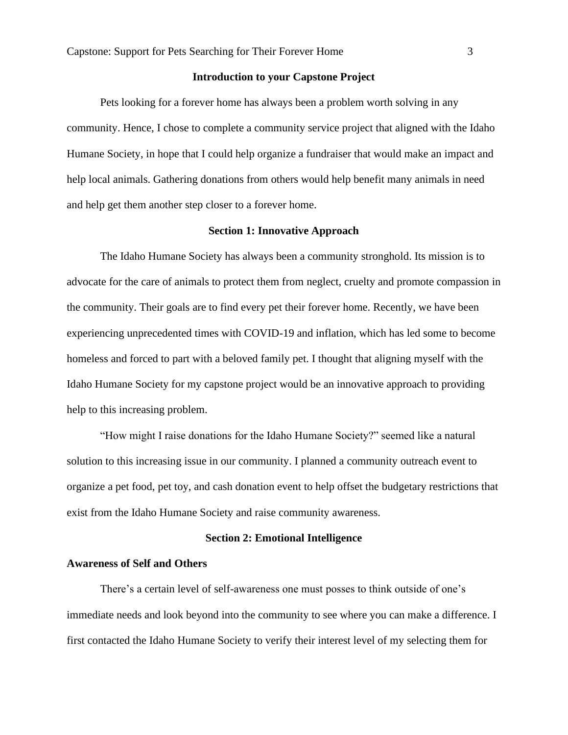# **Introduction to your Capstone Project**

Pets looking for a forever home has always been a problem worth solving in any community. Hence, I chose to complete a community service project that aligned with the Idaho Humane Society, in hope that I could help organize a fundraiser that would make an impact and help local animals. Gathering donations from others would help benefit many animals in need and help get them another step closer to a forever home.

# **Section 1: Innovative Approach**

The Idaho Humane Society has always been a community stronghold. Its mission is to advocate for the care of animals to protect them from neglect, cruelty and promote compassion in the community. Their goals are to find every pet their forever home. Recently, we have been experiencing unprecedented times with COVID-19 and inflation, which has led some to become homeless and forced to part with a beloved family pet. I thought that aligning myself with the Idaho Humane Society for my capstone project would be an innovative approach to providing help to this increasing problem.

"How might I raise donations for the Idaho Humane Society?" seemed like a natural solution to this increasing issue in our community. I planned a community outreach event to organize a pet food, pet toy, and cash donation event to help offset the budgetary restrictions that exist from the Idaho Humane Society and raise community awareness.

#### **Section 2: Emotional Intelligence**

#### **Awareness of Self and Others**

There's a certain level of self-awareness one must posses to think outside of one's immediate needs and look beyond into the community to see where you can make a difference. I first contacted the Idaho Humane Society to verify their interest level of my selecting them for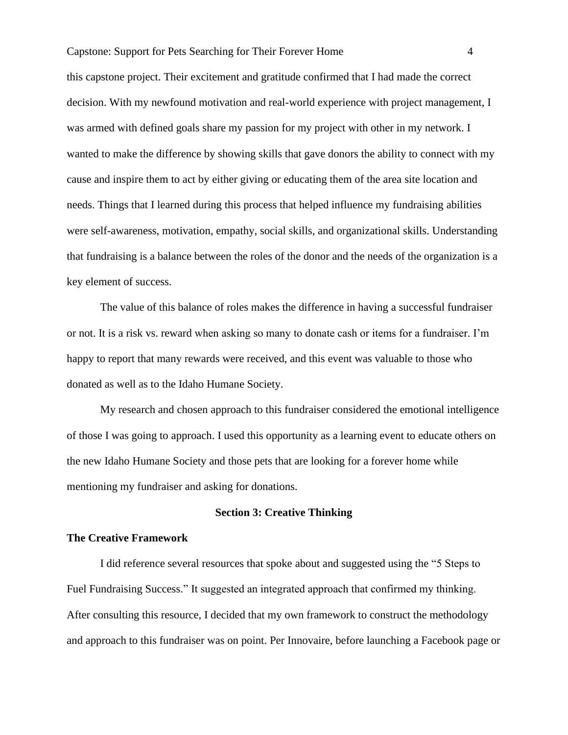this capstone project. Their excitement and gratitude confirmed that I had made the correct decision. With my newfound motivation and real-world experience with project management, I was armed with defined goals share my passion for my project with other in my network. I wanted to make the difference by showing skills that gave donors the ability to connect with my cause and inspire them to act by either giving or educating them of the area site location and needs. Things that I learned during this process that helped influence my fundraising abilities were self-awareness, motivation, empathy, social skills, and organizational skills. Understanding that fundraising is a balance between the roles of the donor and the needs of the organization is a key element of success.

The value of this balance of roles makes the difference in having a successful fundraiser or not. It is a risk vs. reward when asking so many to donate cash or items for a fundraiser. I'm happy to report that many rewards were received, and this event was valuable to those who donated as well as to the Idaho Humane Society.

My research and chosen approach to this fundraiser considered the emotional intelligence of those I was going to approach. I used this opportunity as a learning event to educate others on the new Idaho Humane Society and those pets that are looking for a forever home while mentioning my fundraiser and asking for donations.

#### **Section 3: Creative Thinking**

# **The Creative Framework**

I did reference several resources that spoke about and suggested using the "5 Steps to Fuel Fundraising Success." It suggested an integrated approach that confirmed my thinking. After consulting this resource, I decided that my own framework to construct the methodology and approach to this fundraiser was on point. Per Innovaire, before launching a Facebook page or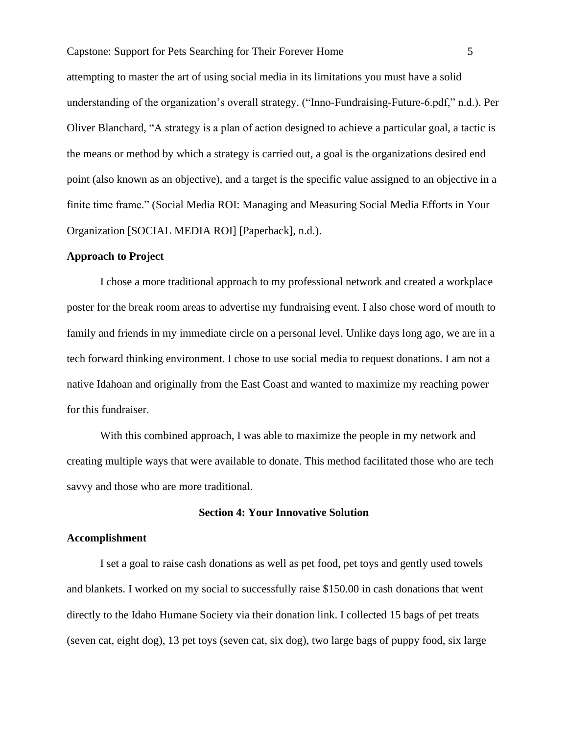attempting to master the art of using social media in its limitations you must have a solid understanding of the organization's overall strategy. ("Inno-Fundraising-Future-6.pdf," n.d.). Per Oliver Blanchard, "A strategy is a plan of action designed to achieve a particular goal, a tactic is the means or method by which a strategy is carried out, a goal is the organizations desired end point (also known as an objective), and a target is the specific value assigned to an objective in a finite time frame." (Social Media ROI: Managing and Measuring Social Media Efforts in Your Organization [SOCIAL MEDIA ROI] [Paperback], n.d.).

#### **Approach to Project**

I chose a more traditional approach to my professional network and created a workplace poster for the break room areas to advertise my fundraising event. I also chose word of mouth to family and friends in my immediate circle on a personal level. Unlike days long ago, we are in a tech forward thinking environment. I chose to use social media to request donations. I am not a native Idahoan and originally from the East Coast and wanted to maximize my reaching power for this fundraiser.

With this combined approach, I was able to maximize the people in my network and creating multiple ways that were available to donate. This method facilitated those who are tech savvy and those who are more traditional.

# **Section 4: Your Innovative Solution**

#### **Accomplishment**

I set a goal to raise cash donations as well as pet food, pet toys and gently used towels and blankets. I worked on my social to successfully raise \$150.00 in cash donations that went directly to the Idaho Humane Society via their donation link. I collected 15 bags of pet treats (seven cat, eight dog), 13 pet toys (seven cat, six dog), two large bags of puppy food, six large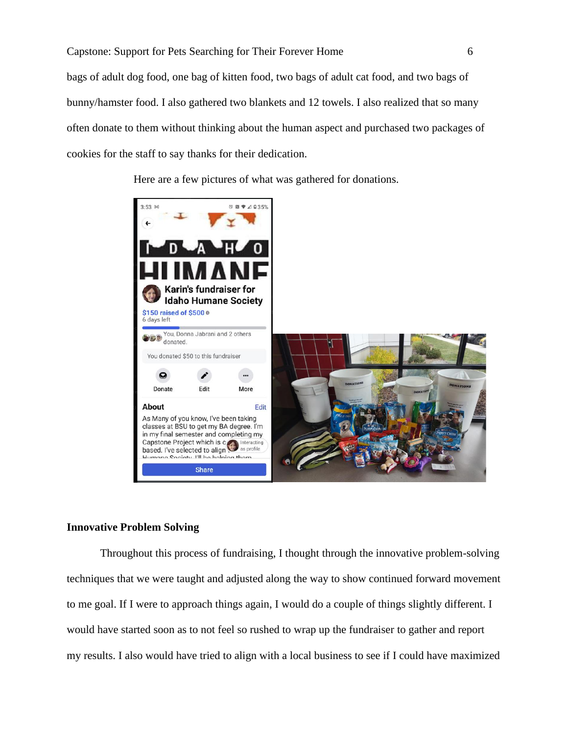bags of adult dog food, one bag of kitten food, two bags of adult cat food, and two bags of bunny/hamster food. I also gathered two blankets and 12 towels. I also realized that so many often donate to them without thinking about the human aspect and purchased two packages of cookies for the staff to say thanks for their dedication.

Here are a few pictures of what was gathered for donations.



#### **Innovative Problem Solving**

Throughout this process of fundraising, I thought through the innovative problem-solving techniques that we were taught and adjusted along the way to show continued forward movement to me goal. If I were to approach things again, I would do a couple of things slightly different. I would have started soon as to not feel so rushed to wrap up the fundraiser to gather and report my results. I also would have tried to align with a local business to see if I could have maximized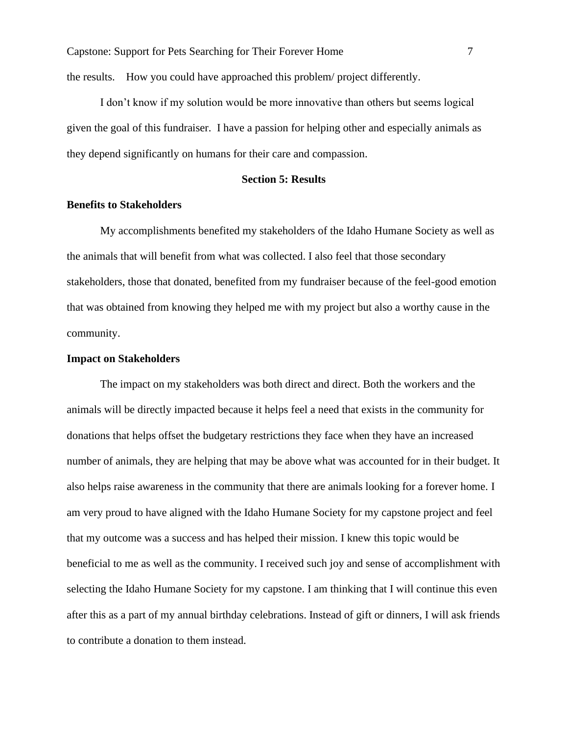the results. How you could have approached this problem/ project differently.

I don't know if my solution would be more innovative than others but seems logical given the goal of this fundraiser. I have a passion for helping other and especially animals as they depend significantly on humans for their care and compassion.

# **Section 5: Results**

# **Benefits to Stakeholders**

My accomplishments benefited my stakeholders of the Idaho Humane Society as well as the animals that will benefit from what was collected. I also feel that those secondary stakeholders, those that donated, benefited from my fundraiser because of the feel-good emotion that was obtained from knowing they helped me with my project but also a worthy cause in the community.

# **Impact on Stakeholders**

The impact on my stakeholders was both direct and direct. Both the workers and the animals will be directly impacted because it helps feel a need that exists in the community for donations that helps offset the budgetary restrictions they face when they have an increased number of animals, they are helping that may be above what was accounted for in their budget. It also helps raise awareness in the community that there are animals looking for a forever home. I am very proud to have aligned with the Idaho Humane Society for my capstone project and feel that my outcome was a success and has helped their mission. I knew this topic would be beneficial to me as well as the community. I received such joy and sense of accomplishment with selecting the Idaho Humane Society for my capstone. I am thinking that I will continue this even after this as a part of my annual birthday celebrations. Instead of gift or dinners, I will ask friends to contribute a donation to them instead.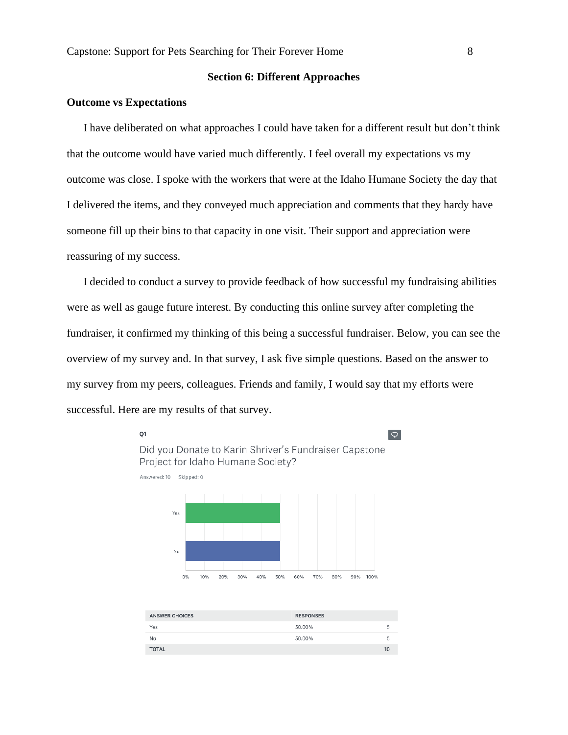# **Section 6: Different Approaches**

# **Outcome vs Expectations**

I have deliberated on what approaches I could have taken for a different result but don't think that the outcome would have varied much differently. I feel overall my expectations vs my outcome was close. I spoke with the workers that were at the Idaho Humane Society the day that I delivered the items, and they conveyed much appreciation and comments that they hardy have someone fill up their bins to that capacity in one visit. Their support and appreciation were reassuring of my success.

I decided to conduct a survey to provide feedback of how successful my fundraising abilities were as well as gauge future interest. By conducting this online survey after completing the fundraiser, it confirmed my thinking of this being a successful fundraiser. Below, you can see the overview of my survey and. In that survey, I ask five simple questions. Based on the answer to my survey from my peers, colleagues. Friends and family, I would say that my efforts were successful. Here are my results of that survey.



| <b>ANSWER CHOICES</b> | <b>RESPONSES</b> |    |
|-----------------------|------------------|----|
| Yes                   | 50.00%           | 5  |
| No                    | 50.00%           | 5  |
| <b>TOTAL</b>          |                  | 10 |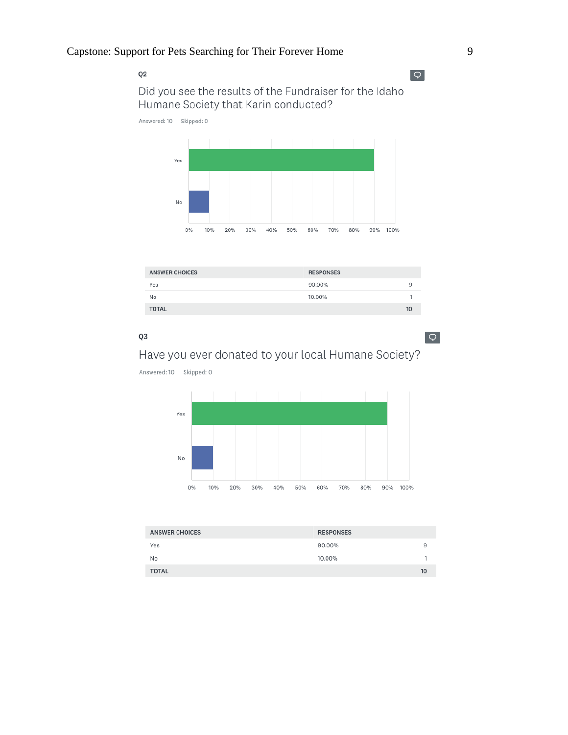$Q2$ 

 $\sqrt{2}$ 

Did you see the results of the Fundraiser for the Idaho Humane Society that Karin conducted?

Answered: 10 Skipped: 0



| <b>ANSWER CHOICES</b> | <b>RESPONSES</b> |    |
|-----------------------|------------------|----|
| Yes                   | 90.00%           | ч  |
| No                    | 10.00%           |    |
| <b>TOTAL</b>          |                  | 10 |

# Q3

 $\circ$ 

# Have you ever donated to your local Humane Society?

Answered: 10 Skipped: 0



| <b>ANSWER CHOICES</b> | <b>RESPONSES</b> |    |
|-----------------------|------------------|----|
| Yes                   | 90.00%           | 9  |
| No                    | 10.00%           |    |
| <b>TOTAL</b>          |                  | 10 |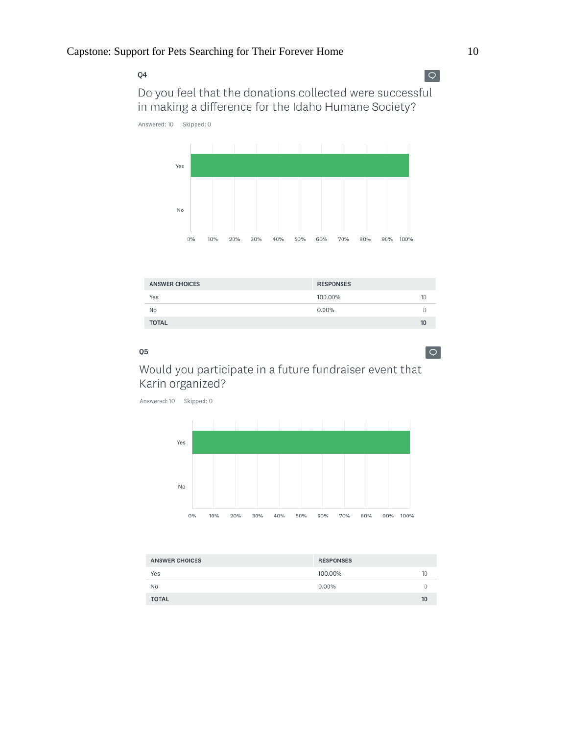Q4

 $Q$ 

 $\boxed{\bigcirc}$ 

Do you feel that the donations collected were successful in making a difference for the Idaho Humane Society?

Answered: 10 Skipped: 0



| <b>ANSWER CHOICES</b> | <b>RESPONSES</b> |                 |
|-----------------------|------------------|-----------------|
| Yes                   | 100.00%          | 10              |
| No                    | 0.00%            | U               |
| <b>TOTAL</b>          |                  | 10 <sup>°</sup> |

### Q<sub>5</sub>

Would you participate in a future fundraiser event that Karin organized?

Answered: 10 Skipped: 0



| <b>ANSWER CHOICES</b> | <b>RESPONSES</b> |    |
|-----------------------|------------------|----|
| Yes                   | 100.00%          | 10 |
| No                    | $0.00\%$         | 0  |
| <b>TOTAL</b>          |                  | 10 |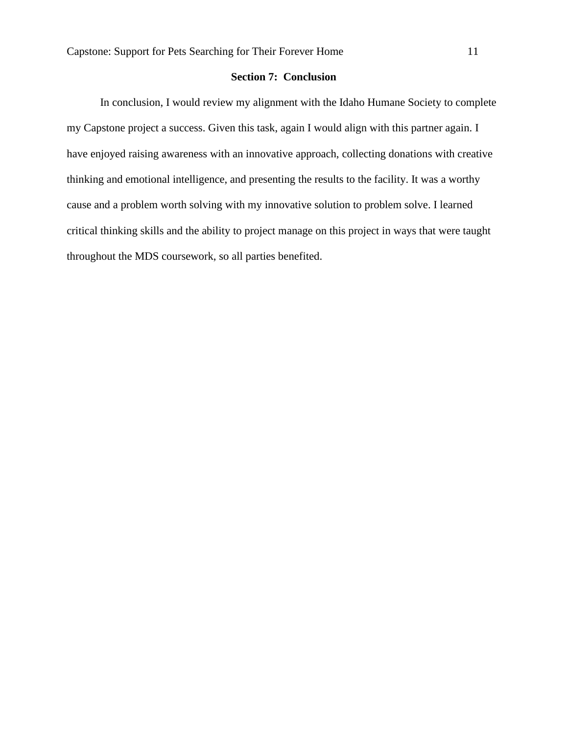# **Section 7: Conclusion**

In conclusion, I would review my alignment with the Idaho Humane Society to complete my Capstone project a success. Given this task, again I would align with this partner again. I have enjoyed raising awareness with an innovative approach, collecting donations with creative thinking and emotional intelligence, and presenting the results to the facility. It was a worthy cause and a problem worth solving with my innovative solution to problem solve. I learned critical thinking skills and the ability to project manage on this project in ways that were taught throughout the MDS coursework, so all parties benefited.